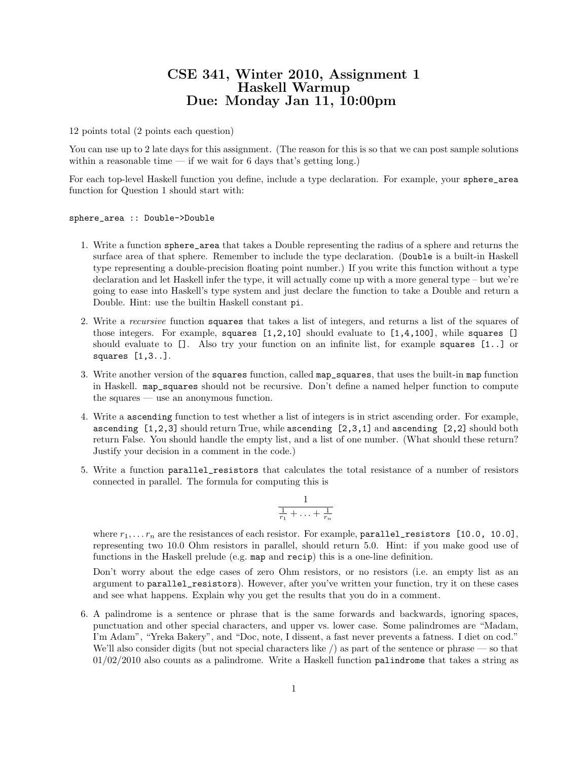## CSE 341, Winter 2010, Assignment 1 Haskell Warmup Due: Monday Jan 11, 10:00pm

12 points total (2 points each question)

You can use up to 2 late days for this assignment. (The reason for this is so that we can post sample solutions within a reasonable time  $-$  if we wait for 6 days that's getting long.)

For each top-level Haskell function you define, include a type declaration. For example, your sphere\_area function for Question 1 should start with:

sphere\_area :: Double->Double

- 1. Write a function sphere\_area that takes a Double representing the radius of a sphere and returns the surface area of that sphere. Remember to include the type declaration. (Double is a built-in Haskell type representing a double-precision floating point number.) If you write this function without a type declaration and let Haskell infer the type, it will actually come up with a more general type – but we're going to ease into Haskell's type system and just declare the function to take a Double and return a Double. Hint: use the builtin Haskell constant pi.
- 2. Write a recursive function squares that takes a list of integers, and returns a list of the squares of those integers. For example, squares  $[1,2,10]$  should evaluate to  $[1,4,100]$ , while squares  $[$ should evaluate to []. Also try your function on an infinite list, for example squares [1..] or squares [1,3..].
- 3. Write another version of the squares function, called map\_squares, that uses the built-in map function in Haskell. map\_squares should not be recursive. Don't define a named helper function to compute the squares — use an anonymous function.
- 4. Write a ascending function to test whether a list of integers is in strict ascending order. For example, ascending [1,2,3] should return True, while ascending [2,3,1] and ascending [2,2] should both return False. You should handle the empty list, and a list of one number. (What should these return? Justify your decision in a comment in the code.)
- 5. Write a function parallel\_resistors that calculates the total resistance of a number of resistors connected in parallel. The formula for computing this is

$$
\frac{1}{\frac{1}{r_1} + \ldots + \frac{1}{r_n}}
$$

where  $r_1, \ldots r_n$  are the resistances of each resistor. For example, parallel\_resistors [10.0, 10.0], representing two 10.0 Ohm resistors in parallel, should return 5.0. Hint: if you make good use of functions in the Haskell prelude (e.g. map and recip) this is a one-line definition.

Don't worry about the edge cases of zero Ohm resistors, or no resistors (i.e. an empty list as an argument to parallel\_resistors). However, after you've written your function, try it on these cases and see what happens. Explain why you get the results that you do in a comment.

6. A palindrome is a sentence or phrase that is the same forwards and backwards, ignoring spaces, punctuation and other special characters, and upper vs. lower case. Some palindromes are "Madam, I'm Adam", "Yreka Bakery", and "Doc, note, I dissent, a fast never prevents a fatness. I diet on cod." We'll also consider digits (but not special characters like  $/$ ) as part of the sentence or phrase — so that 01/02/2010 also counts as a palindrome. Write a Haskell function palindrome that takes a string as